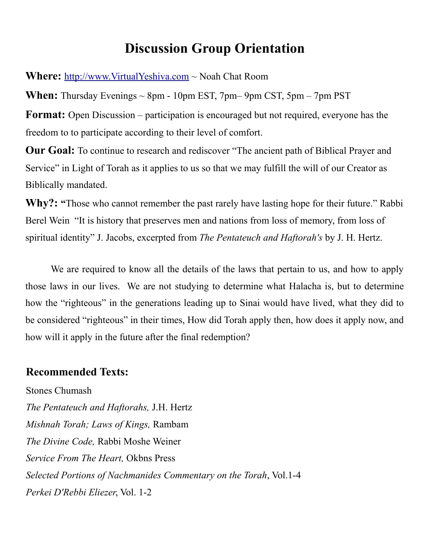# **Discussion Group Orientation**

**Where:** [http://www.VirtualYeshiva.com](http://www.VirtualYeshiva.com/) ~ Noah Chat Room

**When:** Thursday Evenings  $\sim$  8pm - 10pm EST, 7pm – 9pm CST, 5pm – 7pm PST **Format:** Open Discussion – participation is encouraged but not required, everyone has the freedom to to participate according to their level of comfort.

**Our Goal:** To continue to research and rediscover "The ancient path of Biblical Prayer and Service" in Light of Torah as it applies to us so that we may fulfill the will of our Creator as Biblically mandated.

**Why?: "**Those who cannot remember the past rarely have lasting hope for their future." Rabbi Berel Wein "It is history that preserves men and nations from loss of memory, from loss of spiritual identity" J. Jacobs, excerpted from *The Pentateuch and Haftorah's* by J. H. Hertz.

We are required to know all the details of the laws that pertain to us, and how to apply those laws in our lives. We are not studying to determine what Halacha is, but to determine how the "righteous" in the generations leading up to Sinai would have lived, what they did to be considered "righteous" in their times, How did Torah apply then, how does it apply now, and how will it apply in the future after the final redemption?

#### **Recommended Texts:**

Stones Chumash *The Pentateuch and Haftorahs,* J.H. Hertz *Mishnah Torah; Laws of Kings,* Rambam *The Divine Code,* Rabbi Moshe Weiner *Service From The Heart,* Okbns Press *Selected Portions of Nachmanides Commentary on the Torah*, Vol.1-4 *Perkei D'Rebbi Eliezer*, Vol. 1-2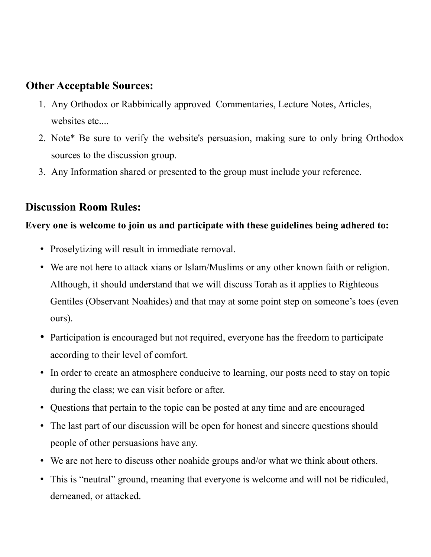### **Other Acceptable Sources:**

- 1. Any Orthodox or Rabbinically approved Commentaries, Lecture Notes, Articles, websites etc....
- 2. Note\* Be sure to verify the website's persuasion, making sure to only bring Orthodox sources to the discussion group.
- 3. Any Information shared or presented to the group must include your reference.

### **Discussion Room Rules:**

#### **Every one is welcome to join us and participate with these guidelines being adhered to:**

- Proselytizing will result in immediate removal.
- We are not here to attack xians or Islam/Muslims or any other known faith or religion. Although, it should understand that we will discuss Torah as it applies to Righteous Gentiles (Observant Noahides) and that may at some point step on someone's toes (even ours).
- Participation is encouraged but not required, everyone has the freedom to participate according to their level of comfort.
- In order to create an atmosphere conducive to learning, our posts need to stay on topic during the class; we can visit before or after.
- Questions that pertain to the topic can be posted at any time and are encouraged
- The last part of our discussion will be open for honest and sincere questions should people of other persuasions have any.
- We are not here to discuss other noahide groups and/or what we think about others.
- This is "neutral" ground, meaning that everyone is welcome and will not be ridiculed, demeaned, or attacked.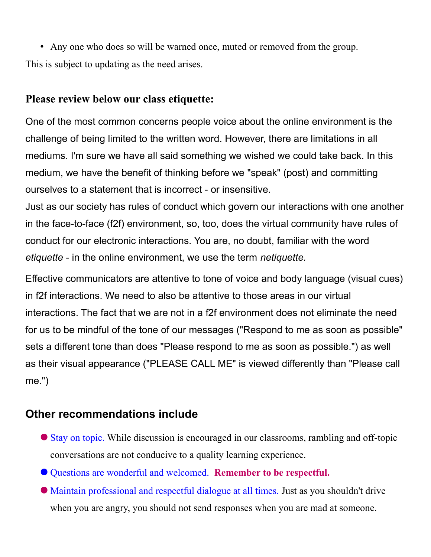• Any one who does so will be warned once, muted or removed from the group. This is subject to updating as the need arises.

## **Please review below our class etiquette:**

One of the most common concerns people voice about the online environment is the challenge of being limited to the written word. However, there are limitations in all mediums. I'm sure we have all said something we wished we could take back. In this medium, we have the benefit of thinking before we "speak" (post) and committing ourselves to a statement that is incorrect - or insensitive.

Just as our society has rules of conduct which govern our interactions with one another in the face-to-face (f2f) environment, so, too, does the virtual community have rules of conduct for our electronic interactions. You are, no doubt, familiar with the word *etiquette* - in the online environment, we use the term *netiquette.*

Effective communicators are attentive to tone of voice and body language (visual cues) in f2f interactions. We need to also be attentive to those areas in our virtual interactions. The fact that we are not in a f2f environment does not eliminate the need for us to be mindful of the tone of our messages ("Respond to me as soon as possible" sets a different tone than does "Please respond to me as soon as possible.") as well as their visual appearance ("PLEASE CALL ME" is viewed differently than "Please call me.")

# **Other recommendations include**

- Stay on topic. While discussion is encouraged in our classrooms, rambling and off-topic conversations are not conducive to a quality learning experience.
- Questions are wonderful and welcomed. **Remember to be respectful.**
- Maintain professional and respectful dialogue at all times. Just as you shouldn't drive when you are angry, you should not send responses when you are mad at someone.